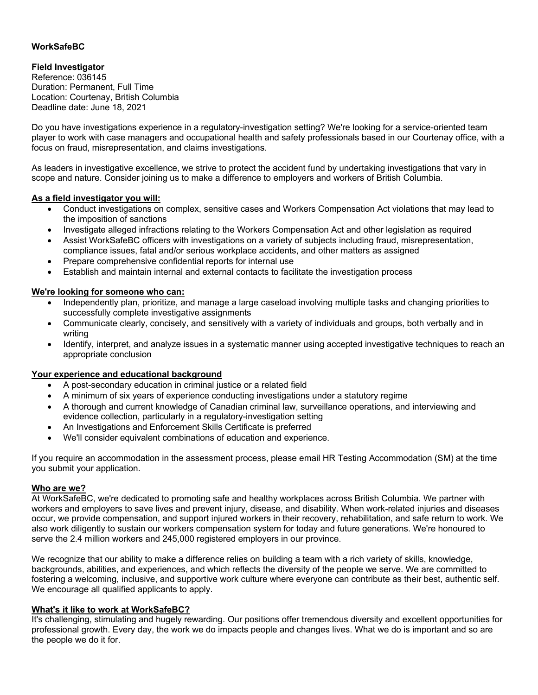# **WorkSafeBC**

## **Field Investigator**

Reference: 036145 Duration: Permanent, Full Time Location: Courtenay, British Columbia Deadline date: June 18, 2021

Do you have investigations experience in a regulatory-investigation setting? We're looking for a service-oriented team player to work with case managers and occupational health and safety professionals based in our Courtenay office, with a focus on fraud, misrepresentation, and claims investigations.

As leaders in investigative excellence, we strive to protect the accident fund by undertaking investigations that vary in scope and nature. Consider joining us to make a difference to employers and workers of British Columbia.

#### **As a field investigator you will:**

- Conduct investigations on complex, sensitive cases and Workers Compensation Act violations that may lead to the imposition of sanctions
- Investigate alleged infractions relating to the Workers Compensation Act and other legislation as required
- Assist WorkSafeBC officers with investigations on a variety of subjects including fraud, misrepresentation, compliance issues, fatal and/or serious workplace accidents, and other matters as assigned
- Prepare comprehensive confidential reports for internal use
- Establish and maintain internal and external contacts to facilitate the investigation process

### **We're looking for someone who can:**

- Independently plan, prioritize, and manage a large caseload involving multiple tasks and changing priorities to successfully complete investigative assignments
- Communicate clearly, concisely, and sensitively with a variety of individuals and groups, both verbally and in writing
- Identify, interpret, and analyze issues in a systematic manner using accepted investigative techniques to reach an appropriate conclusion

#### **Your experience and educational background**

- A post-secondary education in criminal justice or a related field
- A minimum of six years of experience conducting investigations under a statutory regime
- A thorough and current knowledge of Canadian criminal law, surveillance operations, and interviewing and evidence collection, particularly in a regulatory-investigation setting
- An Investigations and Enforcement Skills Certificate is preferred
- We'll consider equivalent combinations of education and experience.

If you require an accommodation in the assessment process, please email HR Testing Accommodation (SM) at the time you submit your application.

#### **Who are we?**

At WorkSafeBC, we're dedicated to promoting safe and healthy workplaces across British Columbia. We partner with workers and employers to save lives and prevent injury, disease, and disability. When work-related injuries and diseases occur, we provide compensation, and support injured workers in their recovery, rehabilitation, and safe return to work. We also work diligently to sustain our workers compensation system for today and future generations. We're honoured to serve the 2.4 million workers and 245,000 registered employers in our province.

We recognize that our ability to make a difference relies on building a team with a rich variety of skills, knowledge, backgrounds, abilities, and experiences, and which reflects the diversity of the people we serve. We are committed to fostering a welcoming, inclusive, and supportive work culture where everyone can contribute as their best, authentic self. We encourage all qualified applicants to apply.

#### **What's it like to work at WorkSafeBC?**

It's challenging, stimulating and hugely rewarding. Our positions offer tremendous diversity and excellent opportunities for professional growth. Every day, the work we do impacts people and changes lives. What we do is important and so are the people we do it for.